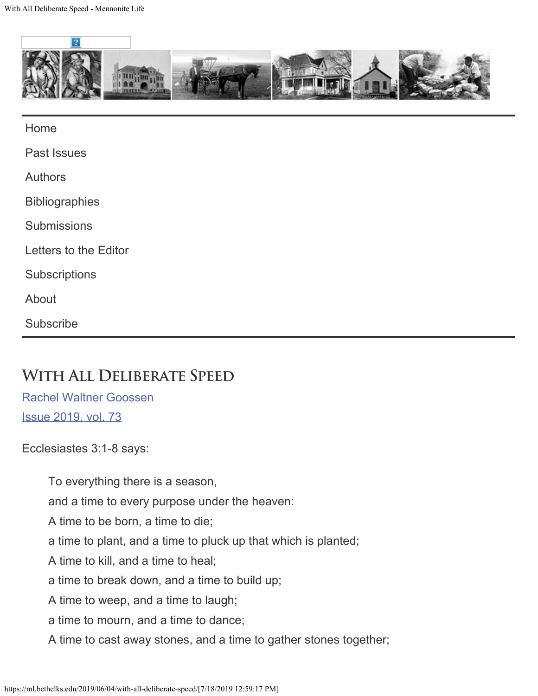

[Home](https://ml.bethelks.edu/)

[Past Issues](https://ml.bethelks.edu/past-issues/)

[Authors](https://ml.bethelks.edu/authors/)

**[Bibliographies](https://ml.bethelks.edu/bibliographies/)** 

**[Submissions](https://ml.bethelks.edu/submissions/)** 

[Letters to the Editor](https://ml.bethelks.edu/letters-to-the-editor/)

**[Subscriptions](https://ml.bethelks.edu/subscriptions/)** 

[About](https://ml.bethelks.edu/about/)

**[Subscribe](http://feeds.bethelks.edu/MennoniteLife)** 

## **With All Deliberate Speed**

[Rachel Waltner Goossen](https://ml.bethelks.edu/author/rwgoossen/) [Issue 2019, vol. 73](https://ml.bethelks.edu/issue/vol-73/)

Ecclesiastes 3:1-8 says:

To everything there is a season, and a time to every purpose under the heaven: A time to be born, a time to die; a time to plant, and a time to pluck up that which is planted; A time to kill, and a time to heal; a time to break down, and a time to build up; A time to weep, and a time to laugh; a time to mourn, and a time to dance; A time to cast away stones, and a time to gather stones together;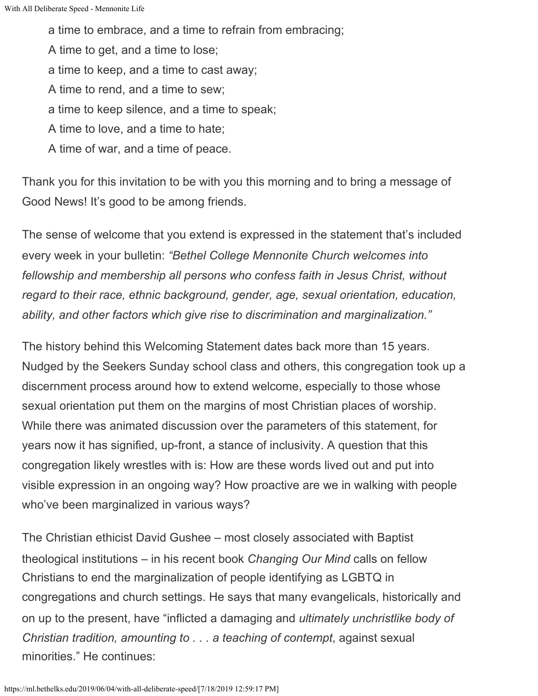a time to embrace, and a time to refrain from embracing; A time to get, and a time to lose; a time to keep, and a time to cast away; A time to rend, and a time to sew; a time to keep silence, and a time to speak; A time to love, and a time to hate; A time of war, and a time of peace.

Thank you for this invitation to be with you this morning and to bring a message of Good News! It's good to be among friends.

The sense of welcome that you extend is expressed in the statement that's included every week in your bulletin: *"Bethel College Mennonite Church welcomes into fellowship and membership all persons who confess faith in Jesus Christ, without regard to their race, ethnic background, gender, age, sexual orientation, education, ability, and other factors which give rise to discrimination and marginalization."*

The history behind this Welcoming Statement dates back more than 15 years. Nudged by the Seekers Sunday school class and others, this congregation took up a discernment process around how to extend welcome, especially to those whose sexual orientation put them on the margins of most Christian places of worship. While there was animated discussion over the parameters of this statement, for years now it has signified, up-front, a stance of inclusivity. A question that this congregation likely wrestles with is: How are these words lived out and put into visible expression in an ongoing way? How proactive are we in walking with people who've been marginalized in various ways?

The Christian ethicist David Gushee – most closely associated with Baptist theological institutions – in his recent book *Changing Our Mind* calls on fellow Christians to end the marginalization of people identifying as LGBTQ in congregations and church settings. He says that many evangelicals, historically and on up to the present, have "inflicted a damaging and *ultimately unchristlike body of Christian tradition, amounting to . . . a teaching of contempt*, against sexual minorities." He continues: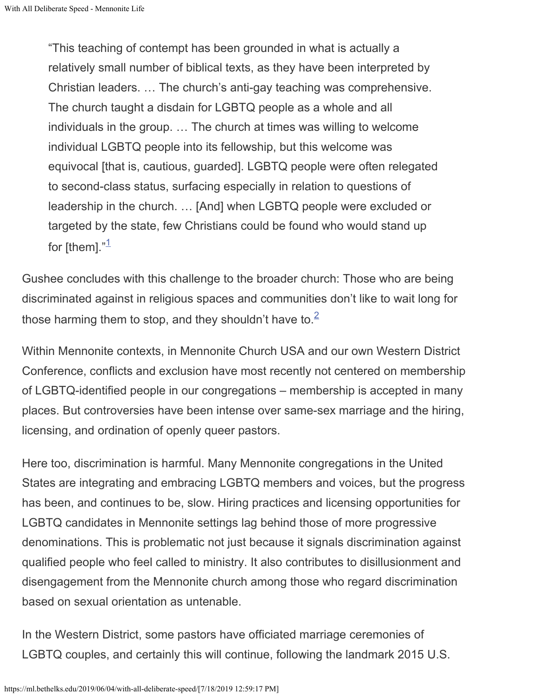"This teaching of contempt has been grounded in what is actually a relatively small number of biblical texts, as they have been interpreted by Christian leaders. … The church's anti-gay teaching was comprehensive. The church taught a disdain for LGBTQ people as a whole and all individuals in the group. … The church at times was willing to welcome individual LGBTQ people into its fellowship, but this welcome was equivocal [that is, cautious, guarded]. LGBTQ people were often relegated to second-class status, surfacing especially in relation to questions of leadership in the church. … [And] when LGBTQ people were excluded or targeted by the state, few Christians could be found who would stand up for [them]."<sup>[1](#page-8-0)</sup>

Gushee concludes with this challenge to the broader church: Those who are being discriminated against in religious spaces and communities don't like to wait long for those harming them to stop, and they shouldn't have to.<sup>[2](#page-8-1)</sup>

Within Mennonite contexts, in Mennonite Church USA and our own Western District Conference, conflicts and exclusion have most recently not centered on membership of LGBTQ-identified people in our congregations – membership is accepted in many places. But controversies have been intense over same-sex marriage and the hiring, licensing, and ordination of openly queer pastors.

Here too, discrimination is harmful. Many Mennonite congregations in the United States are integrating and embracing LGBTQ members and voices, but the progress has been, and continues to be, slow. Hiring practices and licensing opportunities for LGBTQ candidates in Mennonite settings lag behind those of more progressive denominations. This is problematic not just because it signals discrimination against qualified people who feel called to ministry. It also contributes to disillusionment and disengagement from the Mennonite church among those who regard discrimination based on sexual orientation as untenable.

In the Western District, some pastors have officiated marriage ceremonies of LGBTQ couples, and certainly this will continue, following the landmark 2015 U.S.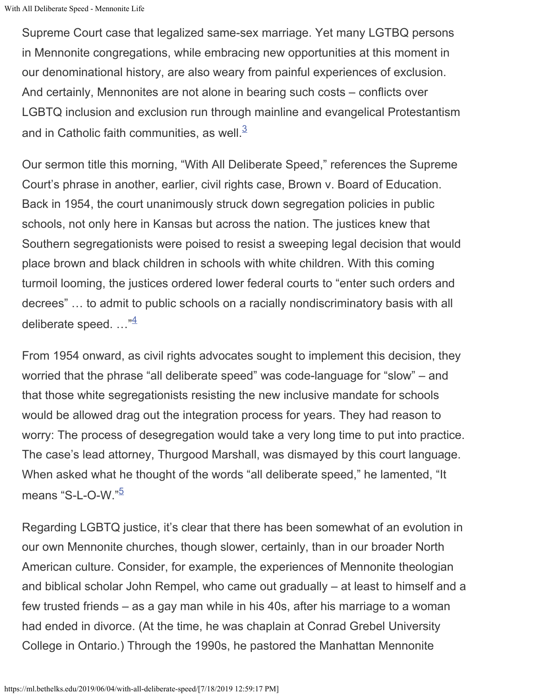With All Deliberate Speed - Mennonite Life

Supreme Court case that legalized same-sex marriage. Yet many LGTBQ persons in Mennonite congregations, while embracing new opportunities at this moment in our denominational history, are also weary from painful experiences of exclusion. And certainly, Mennonites are not alone in bearing such costs – conflicts over LGBTQ inclusion and exclusion run through mainline and evangelical Protestantism and in Catholic faith communities, as well.<sup>[3](#page-8-2)</sup>

Our sermon title this morning, "With All Deliberate Speed," references the Supreme Court's phrase in another, earlier, civil rights case, Brown v. Board of Education. Back in 1954, the court unanimously struck down segregation policies in public schools, not only here in Kansas but across the nation. The justices knew that Southern segregationists were poised to resist a sweeping legal decision that would place brown and black children in schools with white children. With this coming turmoil looming, the justices ordered lower federal courts to "enter such orders and decrees" … to admit to public schools on a racially nondiscriminatory basis with all deliberate speed. ..."<sup>[4](#page-8-3)</sup>

From 1954 onward, as civil rights advocates sought to implement this decision, they worried that the phrase "all deliberate speed" was code-language for "slow" – and that those white segregationists resisting the new inclusive mandate for schools would be allowed drag out the integration process for years. They had reason to worry: The process of desegregation would take a very long time to put into practice. The case's lead attorney, Thurgood Marshall, was dismayed by this court language. When asked what he thought of the words "all deliberate speed," he lamented, "It means "S-L-O-W."<sup>[5](#page-8-4)</sup>

Regarding LGBTQ justice, it's clear that there has been somewhat of an evolution in our own Mennonite churches, though slower, certainly, than in our broader North American culture. Consider, for example, the experiences of Mennonite theologian and biblical scholar John Rempel, who came out gradually – at least to himself and a few trusted friends – as a gay man while in his 40s, after his marriage to a woman had ended in divorce. (At the time, he was chaplain at Conrad Grebel University College in Ontario.) Through the 1990s, he pastored the Manhattan Mennonite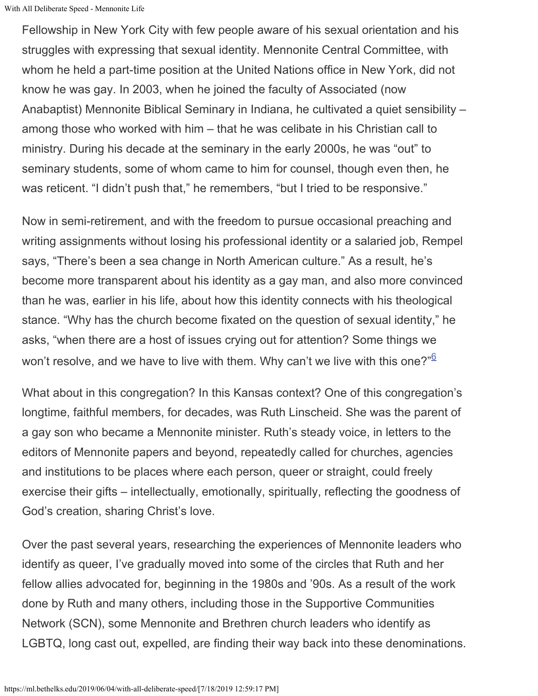With All Deliberate Speed - Mennonite Life

Fellowship in New York City with few people aware of his sexual orientation and his struggles with expressing that sexual identity. Mennonite Central Committee, with whom he held a part-time position at the United Nations office in New York, did not know he was gay. In 2003, when he joined the faculty of Associated (now Anabaptist) Mennonite Biblical Seminary in Indiana, he cultivated a quiet sensibility – among those who worked with him – that he was celibate in his Christian call to ministry. During his decade at the seminary in the early 2000s, he was "out" to seminary students, some of whom came to him for counsel, though even then, he was reticent. "I didn't push that," he remembers, "but I tried to be responsive."

Now in semi-retirement, and with the freedom to pursue occasional preaching and writing assignments without losing his professional identity or a salaried job, Rempel says, "There's been a sea change in North American culture." As a result, he's become more transparent about his identity as a gay man, and also more convinced than he was, earlier in his life, about how this identity connects with his theological stance. "Why has the church become fixated on the question of sexual identity," he asks, "when there are a host of issues crying out for attention? Some things we won't resolve, and we have to live with them. Why can't we live with this one?"<sup>[6](#page-8-5)</sup>

What about in this congregation? In this Kansas context? One of this congregation's longtime, faithful members, for decades, was Ruth Linscheid. She was the parent of a gay son who became a Mennonite minister. Ruth's steady voice, in letters to the editors of Mennonite papers and beyond, repeatedly called for churches, agencies and institutions to be places where each person, queer or straight, could freely exercise their gifts – intellectually, emotionally, spiritually, reflecting the goodness of God's creation, sharing Christ's love.

Over the past several years, researching the experiences of Mennonite leaders who identify as queer, I've gradually moved into some of the circles that Ruth and her fellow allies advocated for, beginning in the 1980s and '90s. As a result of the work done by Ruth and many others, including those in the Supportive Communities Network (SCN), some Mennonite and Brethren church leaders who identify as LGBTQ, long cast out, expelled, are finding their way back into these denominations.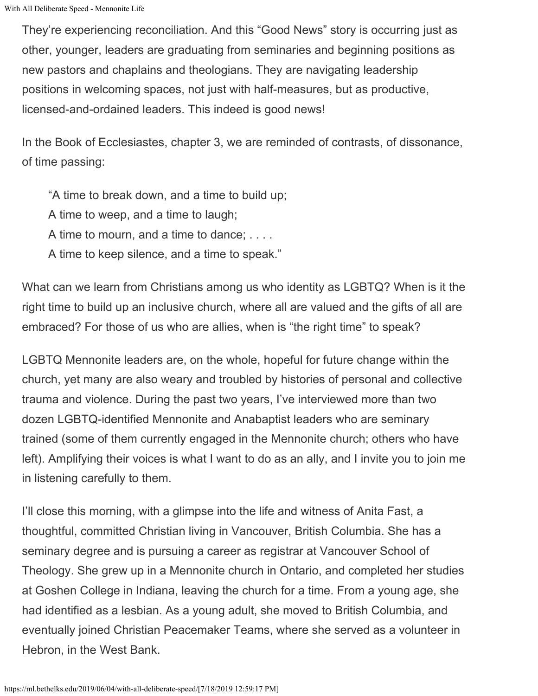They're experiencing reconciliation. And this "Good News" story is occurring just as other, younger, leaders are graduating from seminaries and beginning positions as new pastors and chaplains and theologians. They are navigating leadership positions in welcoming spaces, not just with half-measures, but as productive, licensed-and-ordained leaders. This indeed is good news!

In the Book of Ecclesiastes, chapter 3, we are reminded of contrasts, of dissonance, of time passing:

"A time to break down, and a time to build up; A time to weep, and a time to laugh; A time to mourn, and a time to dance; . . . . A time to keep silence, and a time to speak."

What can we learn from Christians among us who identity as LGBTQ? When is it the right time to build up an inclusive church, where all are valued and the gifts of all are embraced? For those of us who are allies, when is "the right time" to speak?

LGBTQ Mennonite leaders are, on the whole, hopeful for future change within the church, yet many are also weary and troubled by histories of personal and collective trauma and violence. During the past two years, I've interviewed more than two dozen LGBTQ-identified Mennonite and Anabaptist leaders who are seminary trained (some of them currently engaged in the Mennonite church; others who have left). Amplifying their voices is what I want to do as an ally, and I invite you to join me in listening carefully to them.

I'll close this morning, with a glimpse into the life and witness of Anita Fast, a thoughtful, committed Christian living in Vancouver, British Columbia. She has a seminary degree and is pursuing a career as registrar at Vancouver School of Theology. She grew up in a Mennonite church in Ontario, and completed her studies at Goshen College in Indiana, leaving the church for a time. From a young age, she had identified as a lesbian. As a young adult, she moved to British Columbia, and eventually joined Christian Peacemaker Teams, where she served as a volunteer in Hebron, in the West Bank.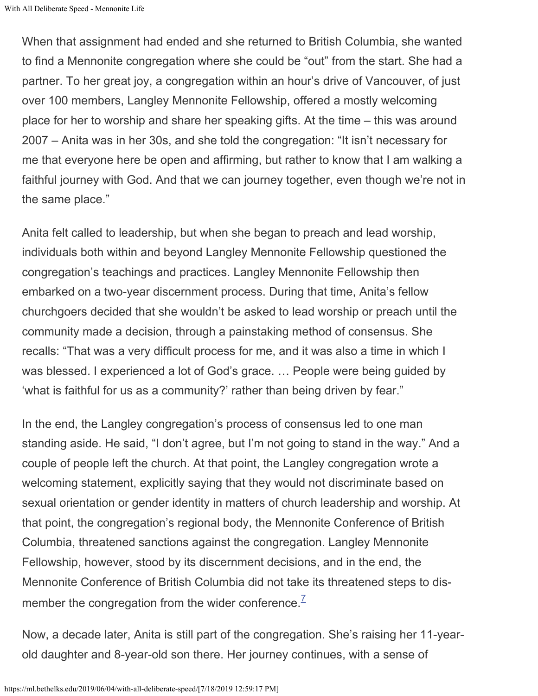When that assignment had ended and she returned to British Columbia, she wanted to find a Mennonite congregation where she could be "out" from the start. She had a partner. To her great joy, a congregation within an hour's drive of Vancouver, of just over 100 members, Langley Mennonite Fellowship, offered a mostly welcoming place for her to worship and share her speaking gifts. At the time – this was around 2007 – Anita was in her 30s, and she told the congregation: "It isn't necessary for me that everyone here be open and affirming, but rather to know that I am walking a faithful journey with God. And that we can journey together, even though we're not in the same place."

Anita felt called to leadership, but when she began to preach and lead worship, individuals both within and beyond Langley Mennonite Fellowship questioned the congregation's teachings and practices. Langley Mennonite Fellowship then embarked on a two-year discernment process. During that time, Anita's fellow churchgoers decided that she wouldn't be asked to lead worship or preach until the community made a decision, through a painstaking method of consensus. She recalls: "That was a very difficult process for me, and it was also a time in which I was blessed. I experienced a lot of God's grace. … People were being guided by 'what is faithful for us as a community?' rather than being driven by fear."

In the end, the Langley congregation's process of consensus led to one man standing aside. He said, "I don't agree, but I'm not going to stand in the way." And a couple of people left the church. At that point, the Langley congregation wrote a welcoming statement, explicitly saying that they would not discriminate based on sexual orientation or gender identity in matters of church leadership and worship. At that point, the congregation's regional body, the Mennonite Conference of British Columbia, threatened sanctions against the congregation. Langley Mennonite Fellowship, however, stood by its discernment decisions, and in the end, the Mennonite Conference of British Columbia did not take its threatened steps to dis-member the congregation from the wider conference.<sup>[7](#page-8-6)</sup>

Now, a decade later, Anita is still part of the congregation. She's raising her 11-yearold daughter and 8-year-old son there. Her journey continues, with a sense of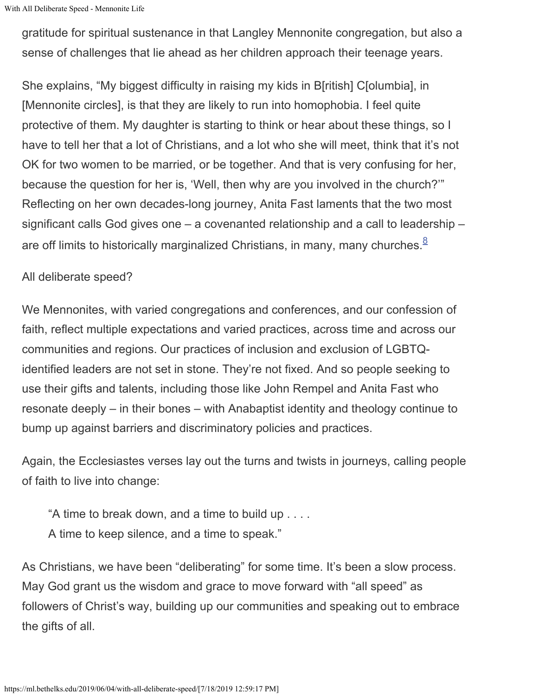With All Deliberate Speed - Mennonite Life

gratitude for spiritual sustenance in that Langley Mennonite congregation, but also a sense of challenges that lie ahead as her children approach their teenage years.

She explains, "My biggest difficulty in raising my kids in B[ritish] C[olumbia], in [Mennonite circles], is that they are likely to run into homophobia. I feel quite protective of them. My daughter is starting to think or hear about these things, so I have to tell her that a lot of Christians, and a lot who she will meet, think that it's not OK for two women to be married, or be together. And that is very confusing for her, because the question for her is, 'Well, then why are you involved in the church?'" Reflecting on her own decades-long journey, Anita Fast laments that the two most significant calls God gives one – a covenanted relationship and a call to leadership – are off limits to historically marginalized Christians, in many, many churches. $8$ 

## All deliberate speed?

We Mennonites, with varied congregations and conferences, and our confession of faith, reflect multiple expectations and varied practices, across time and across our communities and regions. Our practices of inclusion and exclusion of LGBTQidentified leaders are not set in stone. They're not fixed. And so people seeking to use their gifts and talents, including those like John Rempel and Anita Fast who resonate deeply – in their bones – with Anabaptist identity and theology continue to bump up against barriers and discriminatory policies and practices.

Again, the Ecclesiastes verses lay out the turns and twists in journeys, calling people of faith to live into change:

"A time to break down, and a time to build up . . . . A time to keep silence, and a time to speak."

As Christians, we have been "deliberating" for some time. It's been a slow process. May God grant us the wisdom and grace to move forward with "all speed" as followers of Christ's way, building up our communities and speaking out to embrace the gifts of all.